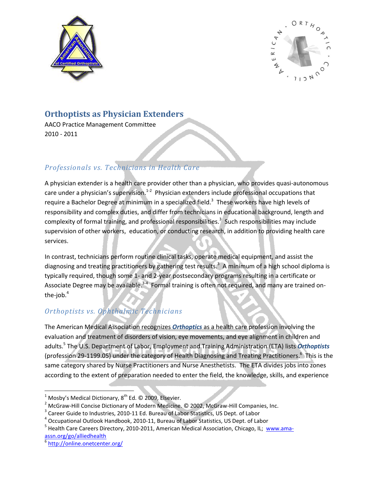



## **Orthoptists as Physician Extenders**

AACO Practice Management Committee 2010 - 2011

### *Professionals vs. Technicians in Health Care*

A physician extender is a health care provider other than a physician, who provides quasi-autonomous care under a physician's supervision.<sup>1-2</sup> Physician extenders include professional occupations that require a Bachelor Degree at minimum in a specialized field.<sup>3</sup> These workers have high levels of responsibility and complex duties, and differ from technicians in educational background, length and complexity of formal training, and professional responsibilities.<sup>3</sup> Such responsibilities may include supervision of other workers, education, or conducting research, in addition to providing health care services.

In contrast, technicians perform routine clinical tasks, operate medical equipment, and assist the diagnosing and treating practitioners by gathering test results.<sup>3</sup> A minimum of a high school diploma is typically required, though some 1- and 2-year postsecondary programs resulting in a certificate or Associate Degree may be available.<sup>3-4</sup> Formal training is often not required, and many are trained onthe-job. $4$ 

## *Orthoptists vs. Ophthalmic Technicians*

The American Medical Association recognizes *Orthoptics* as a health care profession involving the evaluation and treatment of disorders of vision, eye movements, and eye alignment in children and adults.<sup>5</sup> The U.S. Department of Labor, Employment and Training Administration (ETA) lists *Orthoptists* (profession 29-1199.05) under the category of Health Diagnosing and Treating Practitioners.<sup>6</sup> This is the same category shared by Nurse Practitioners and Nurse Anesthetists. The ETA divides jobs into zones according to the extent of preparation needed to enter the field, the knowledge, skills, and experience

 $\overline{\phantom{a}}$ 

 $^{1}$  Mosby's Medical Dictionary, 8<sup>th</sup> Ed. © 2009, Elsevier.

<sup>&</sup>lt;sup>2</sup> McGraw-Hill Concise Dictionary of Modern Medicine. © 2002, McGraw-Hill Companies, Inc.

 $3$  Career Guide to Industries, 2010-11 Ed. Bureau of Labor Statistics, US Dept. of Labor

<sup>&</sup>lt;sup>4</sup> Occupational Outlook Handbook, 2010-11, Bureau of Labor Statistics, US Dept. of Labor

<sup>&</sup>lt;sup>5</sup> Health Care Careers Directory, 2010-2011, American Medical Association, Chicago, IL; [www.ama](http://www.ama-assn.org/go/alliedhealth)[assn.org/go/alliedhealth](http://www.ama-assn.org/go/alliedhealth)

<sup>&</sup>lt;sup>6</sup> <http://online.onetcenter.org/>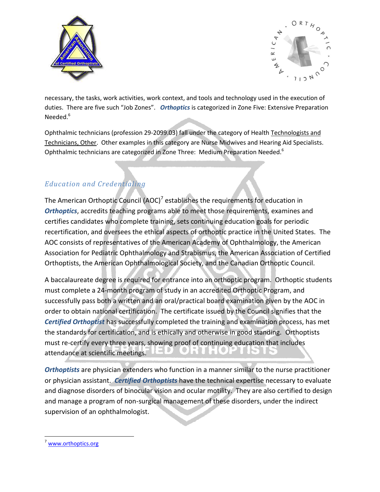



necessary, the tasks, work activities, work context, and tools and technology used in the execution of duties. There are five such "Job Zones". *Orthoptics* is categorized in Zone Five: Extensive Preparation Needed.<sup>6</sup>

Ophthalmic technicians (profession 29-2099.03) fall under the category of Health Technologists and Technicians, Other. Other examples in this category are Nurse Midwives and Hearing Aid Specialists. Ophthalmic technicians are categorized in Zone Three: Medium Preparation Needed.<sup>6</sup>

## *Education and Credentialing*

The American Orthoptic Council (AOC)<sup>7</sup> establishes the requirements for education in *Orthoptics*, accredits teaching programs able to meet those requirements, examines and certifies candidates who complete training, sets continuing education goals for periodic recertification, and oversees the ethical aspects of orthoptic practice in the United States. The AOC consists of representatives of the American Academy of Ophthalmology, the American Association for Pediatric Ophthalmology and Strabismus, the American Association of Certified Orthoptists, the American Ophthalmological Society, and the Canadian Orthoptic Council.

A baccalaureate degree is required for entrance into an orthoptic program. Orthoptic students must complete a 24-month program of study in an accredited Orthoptic Program, and successfully pass both a written and an oral/practical board examination given by the AOC in order to obtain national certification. The certificate issued by the Council signifies that the *Certified Orthoptist* has successfully completed the training and examination process, has met the standards for certification, and is ethically and otherwise in good standing. Orthoptists must re-certify every three years, showing proof of continuing education that includes attendance at scientific meetings.

*Orthoptists* are physician extenders who function in a manner similar to the nurse practitioner or physician assistant. *Certified Orthoptists* have the technical expertise necessary to evaluate and diagnose disorders of binocular vision and ocular motility. They are also certified to design and manage a program of non-surgical management of these disorders, under the indirect supervision of an ophthalmologist.

 $\overline{\phantom{a}}$ 

<sup>7</sup> [www.orthoptics.org](http://www.orthoptics.org/)